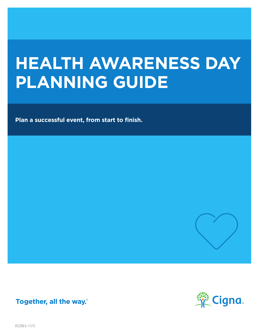# **HEALTH AWARENESS DAY PLANNING GUIDE**

**Plan a successful event, from start to finish.** 







832206 b 11/15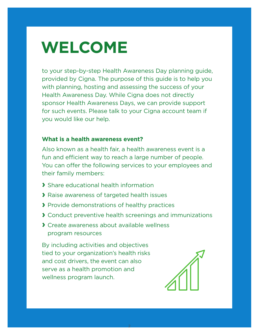# **WELCOME**

to your step-by-step Health Awareness Day planning guide, provided by Cigna. The purpose of this guide is to help you with planning, hosting and assessing the success of your Health Awareness Day. While Cigna does not directly sponsor Health Awareness Days, we can provide support for such events. Please talk to your Cigna account team if you would like our help.

### **What is a health awareness event?**

Also known as a health fair, a health awareness event is a fun and efficient way to reach a large number of people. You can offer the following services to your employees and their family members:

- **›** Share educational health information
- **›** Raise awareness of targeted health issues
- **›** Provide demonstrations of healthy practices
- **›** Conduct preventive health screenings and immunizations

2

**›** Create awareness about available wellness program resources

By including activities and objectives tied to your organization's health risks and cost drivers, the event can also serve as a health promotion and wellness program launch.

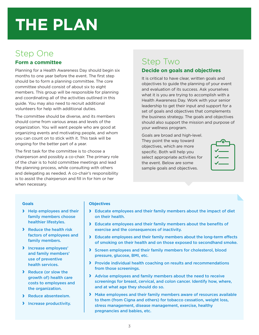## Step One

### **Form a committee**

Planning for a Health Awareness Day should begin six months to one year before the event. The first step should be to form a planning committee. The core committee should consist of about six to eight members. This group will be responsible for planning and coordinating all of the activities outlined in this guide. You may also need to recruit additional volunteers for help with additional duties.

The committee should be diverse, and its members should come from various areas and levels of the organization. You will want people who are good at organizing events and motivating people, and whom you can count on to stick with it. This task will be ongoing for the better part of a year.

The first task for the committee is to choose a chairperson and possibly a co-chair. The primary role of the chair is to hold committee meetings and lead the planning process, while consulting with others and delegating as needed. A co-chair's responsibility is to assist the chairperson and fill in for him or her when necessary.

# Step Two

### **Decide on goals and objectives**

It is critical to have clear, written goals and objectives to guide the planning of your event and evaluation of its success. Ask yourselves what it is you are trying to accomplish with a Health Awareness Day. Work with your senior leadership to get their input and support for a set of goals and objectives that complements the business strategy. The goals and objectives should also support the mission and purpose of your wellness program.

Goals are broad and high-level. They point the way toward objectives, which are more specific. Both will help you select appropriate activities for the event. Below are some sample goals and objectives.

| ᠊᠊ᡐ                           |
|-------------------------------|
| $\checkmark$ and $\checkmark$ |
| $\checkmark$                  |
| $\sqrt{\phantom{a}}$          |

### **Goals**

- **›** Help employees and their family members choose healthier lifestyles.
- **›** Reduce the health risk factors of employees and family members.
- **›** Increase employees' and family members' use of preventive health services.
- **›** Reduce (or slow the growth of) health care costs to employees and the organization.
- **›** Reduce absenteeism.
- **›** Increase productivity.

### **Objectives**

- **›** Educate employees and their family members about the impact of diet on their health.
- **›** Educate employees and their family members about the benefits of exercise and the consequences of inactivity.
- **›** Educate employees and their family members about the long-term effects of smoking on their health and on those exposed to secondhand smoke.
- **›** Screen employees and their family members for cholesterol, blood pressure, glucose, BMI, etc.
- **›** Provide individual health coaching on results and recommendations from those screenings.
- **›** Advise employees and family members about the need to receive screenings for breast, cervical, and colon cancer. Identify how, where, and at what age they should do so.
- **›** Make employees and their family members aware of resources available to them (from Cigna and others) for tobacco cessation, weight loss, stress management, disease management, exercise, healthy pregnancies and babies, etc.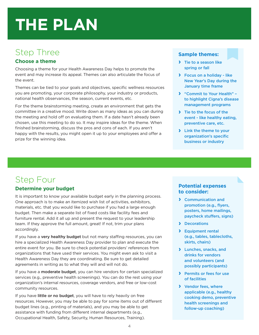# Step Three

### **Choose a theme**

Choosing a theme for your Health Awareness Day helps to promote the event and may increase its appeal. Themes can also articulate the focus of the event.

Themes can be tied to your goals and objectives, specific wellness resources you are promoting, your corporate philosophy, your industry or products, national health observances, the season, current events, etc.

For the theme brainstorming meeting, create an environment that gets the committee in a creative mood. Write down as many ideas as you can during the meeting and hold off on evaluating them. If a date hasn't already been chosen, use this meeting to do so. It may inspire ideas for the theme. When finished brainstorming, discuss the pros and cons of each. If you aren't happy with the results, you might open it up to your employees and offer a prize for the winning idea.

### **Sample themes:**

- **›** Tie to a season like spring or fall
- **›** Focus on a holiday like New Year's Day during the January time frame
- **›** "Commit to Your Health" to highlight Cigna's disease management programs
- **›** Tie to the focus of the event - like healthy eating, preventive care, etc.
- **›** Link the theme to your organization's specific business or industry

# Step Four

### **Determine your budget**

It is important to know your available budget early in the planning process. One approach is to make an itemized wish list of activities, exhibitors, materials, etc. that you would like to purchase if you had a large enough budget. Then make a separate list of fixed costs like facility fees and furniture rental. Add it all up and present the request to your leadership team. If they approve the full amount, great! If not, trim your plans accordingly.

If you have a very healthy budget but not many staffing resources, you can hire a specialized Health Awareness Day provider to plan and execute the entire event for you. Be sure to check potential providers' references from organizations that have used their services. You might even ask to visit a Health Awareness Day they are coordinating. Be sure to get detailed agreements in writing as to what they will and will not do.

If you have a moderate budget, you can hire vendors for certain specialized services (e.g., preventive health screenings). You can do the rest using your organization's internal resources, coverage vendors, and free or low-cost community resources.

If you have little or no budget, you will have to rely heavily on free resources. However, you may be able to pay for some items out of different budget lines (e.g., printing of materials), and you may be able to get assistance with funding from different internal departments (e.g., Occupational Health, Safety, Security, Human Resources, Training).

### **Potential expenses to consider:**

- **›** Communication and promotion (e.g., flyers, posters, home mailings, paycheck stuffers, signs)
- **›** Decorations
- **›** Equipment rental (e.g., tables, tablecloths, skirts, chairs)
- **›** Lunches, snacks, and drinks for vendors and volunteers (and possibly participants)
- **›** Permits or fees for use of facilities
- **›** Vendor fees, where applicable (e.g., healthy cooking demo, preventive health screenings and follow-up coaching)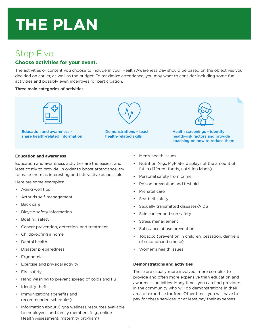## Step Five

### **Choose activities for your event.**

The activities or content you choose to include in your Health Awareness Day should be based on the objectives you decided on earlier, as well as the budget. To maximize attendance, you may want to consider including some fun activities and possibly even incentives for participation.

### Three main categories of activities:



Education and awareness – share health-related information



Demonstrations – teach health-related skills



Health screenings – identify health-risk factors and provide coaching on how to reduce them

### **Education and awareness**

Education and awareness activities are the easiest and least costly to provide. In order to boost attendance, try to make them as interesting and interactive as possible.

Here are some examples:

- • Aging well tips
- • Arthritis self-management
- Back care
- Bicycle safety information
- Boating safety
- Cancer prevention, detection, and treatment
- Childproofing a home
- Dental health
- Disaster preparedness
- **Ergonomics**
- Exercise and physical activity
- Fire safety
- Hand washing to prevent spread of colds and flu
- Identity theft
- Immunizations (benefits and recommended schedules)
- Information about Cigna wellness resources available to employees and family members (e.g., online Health Assessment, maternity program)
- • Men's health issues
- • Nutrition (e.g., MyPlate, displays of the amount of fat in different foods, nutrition labels)
- • Personal safety from crime
- Poison prevention and first aid
- • Prenatal care
- Seatbelt safety
- Sexually transmitted diseases/AIDS
- Skin cancer and sun safety
- Stress management
- Substance abuse prevention
- • Tobacco (prevention in children, cessation, dangers of secondhand smoke)
- • Women's health issues

### **Demonstrations and activities**

These are usually more involved, more complex to provide and often more expensive than education and awareness activities. Many times you can find providers in the community who will do demonstrations in their area of expertise for free. Other times you will have to pay for these services, or at least pay their expenses.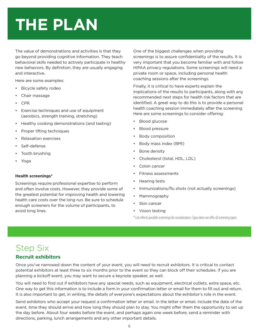The value of demonstrations and activities is that they go beyond providing cognitive information. They teach behavioral skills needed to actively participate in healthy new behaviors. By definition, they are usually engaging and interactive.

Here are some examples:

- Bicycle safety rodeo
- Chair massage
- • CPR
- Exercise techniques and use of equipment (aerobics, strength training, stretching)
- Healthy cooking demonstrations (and tasting)
- **Proper lifting techniques**
- Relaxation exercises
- Self-defense
- Tooth brushing
- Yoga

### **Health screenings\***

Screenings require professional expertise to perform and often involve costs. However, they provide some of the greatest potential for improving health and lowering health care costs over the long run. Be sure to schedule enough screeners for the volume of participants, to avoid long lines.

One of the biggest challenges when providing screenings is to assure confidentiality of the results. It is very important that you become familiar with and follow HIPAA privacy regulations. Some screenings will need a private room or space, including personal health coaching sessions after the screenings.

Finally, it is critical to have experts explain the implications of the results to participants, along with any recommended next steps for health risk factors that are identified. A great way to do this is to provide a personal health coaching session immediately after the screening. Here are some screenings to consider offering:

- **Blood glucose**
- **Blood pressure**
- **Body composition**
- Body mass index (BMI)
- Bone density
- Cholesterol (total, HDL, LDL)
- Colon cancer
- Fitness assessments
- **Hearing tests**
- Immunizations/flu shots (not actually screenings)
- • Mammography
- Skin cancer
- Vision testing

\* List reflects possible screenings for consideration. Cigna does not offer all screening types.

# Step Six

### **Recruit exhibitors**

Once you've narrowed down the content of your event, you will need to recruit exhibitors. It is critical to contact potential exhibitors at least three to six months prior to the event so they can block off their schedules. If you are planning a kickoff event, you may want to secure a keynote speaker, as well.

You will need to find out if exhibitors have any special needs, such as equipment, electrical outlets, extra space, etc. One way to get this information is to include a form in your confirmation letter or email for them to fill out and return. It is also important to get, in writing, the details of everyone's expectations about the exhibitor's role in the event.

Send exhibitors who accept your request a confirmation letter or email. In the letter or email, include the date of the event, time they should arrive and how long they should plan to stay. You might offer them the opportunity to set up the day before. About four weeks before the event, and perhaps again one week before, send a reminder with directions, parking, lunch arrangements and any other important details.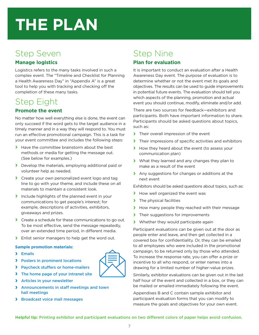## Step Seven

### **Manage logistics**

Logistics refers to the many tasks involved in such a complex event. The "Timeline and Checklist for Planning a Health Awareness Day" in "Appendix A" is a great tool to help you with tracking and checking off the completion of these many tasks.

## Step Eight

## **Promote the event**

No matter how well everything else is done, the event can only succeed if the word gets to the target audience in a timely manner and in a way they will respond to. You must run an effective promotional campaign. This is a task for your event committee and includes the following steps:

- **›** Have the committee brainstorm about the best methods or media for getting the message out. (See below for examples.)
- **›** Develop the materials, employing additional paid or volunteer help as needed.
- **›** Create your own personalized event logo and tag line to go with your theme, and include these on all materials to maintain a consistent look.
- **›** Include highlights of the planned event in your communications to get people's interest; for example, descriptions of activities, exhibitors, giveaways and prizes.
- **›** Create a schedule for these communications to go out. To be most effective, send the message repeatedly, over an extended time period, in different media.
- **›** Enlist senior managers to help get the word out.

### **Sample promotion materials:**

- **›** Emails
- **›** Posters in prominent locations
- **›** Paycheck stuffers or home-mailers
- **›** The home page of your intranet site
- **›** Articles in your newsletter
- **›** Announcements in staff meetings and town hall meetings
- **›** Broadcast voice mail messages

## Step Nine **Plan for evaluation**

It is important to conduct an evaluation after a Health Awareness Day event. The purpose of evaluation is to determine whether or not the event met its goals and objectives. The results can be used to guide improvements in potential future events. The evaluation should tell you which aspects of the planning, promotion and actual event you should continue, modify, eliminate and/or add.

There are two sources for feedback—exhibitors and participants. Both have important information to share. Participants should be asked questions about topics, such as:

- **›** Their overall impression of the event
- **›** Their impressions of specific activities and exhibitors
- **›** How they heard about the event (to assess your communication plan)
- **›** What they learned and any changes they plan to make as a result of the event
- **›** Any suggestions for changes or additions at the next event

Exhibitors should be asked questions about topics, such as:

- **›** How well organized the event was
- **›** The physical facilities
- **›** How many people they reached with their message
- **›** Their suggestions for improvements
- **›** Whether they would participate again

Participant evaluations can be given out at the door as people enter and leave, and then get collected in a covered box for confidentiality. Or, they can be emailed to all employees who were included in the promotional campaign, to be returned only by those who attended. To increase the response rate, you can offer a prize or incentive to all who respond, or enter names into a drawing for a limited number of higher-value prizes.

Similarly, exhibitor evaluations can be given out in the last half hour of the event and collected in a box, or they can be mailed or emailed immediately following the event.

Appendixes B and C contain sample exhibitor and participant evaluation forms that you can modify to measure the goals and objectives for your own event.

**Helpful tip:** Printing exhibitor and participant evaluations on two different colors of paper helps avoid confusion.

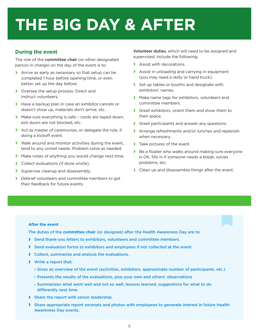# **THE BIG DAY & AFTER**

### **During the event**

The role of the committee chair (or other designated person in charge) on the day of the event is to:

- **›** Arrive as early as necessary so that setup can be completed 1 hour before opening time, or even better, set up the day before.
- **›** Oversee the setup process. Direct and instruct volunteers.
- **›** Have a backup plan in case an exhibitor cancels or doesn't show up, materials don't arrive, etc.
- **›** Make sure everything is safe cords are taped down, exit doors are not blocked, etc.
- **›** Act as master of ceremonies, or delegate the role, if doing a kickoff event.
- **›** Walk around and monitor activities during the event, tend to any unmet needs. Problem solve as needed.
- **›** Make notes of anything you would change next time.
- **›** Collect evaluations (if done onsite).
- **›** Supervise cleanup and disassembly.
- **›** Debrief volunteers and committee members to get their feedback for future events.

Volunteer duties, which will need to be assigned and supervised, include the following:

- **›** Assist with decorations.
- **›** Assist in unloading and carrying in equipment (you may need a dolly or hand truck).
- **›** Set up tables or booths and designate with exhibitors' names.
- **›** Make name tags for exhibitors, volunteers and committee members.
- **›** Greet exhibitors, orient them and show them to their space.
- **›** Greet participants and answer any questions.
- **›** Arrange refreshments and/or lunches and replenish when necessary.
- **›** Take pictures of the event.
- **›** Be <sup>a</sup> floater who walks around making sure everyone is OK, fills in if someone needs a break, solves problems, etc.
- **›** Clean up and disassemble things after the event.

#### **After the event**

The duties of the **committee chair** (or designee) after the Health Awareness Day are to:

- **›** Send thank-you letters to exhibitors, volunteers and committee members.
- **›** Send evaluation forms to exhibitors and employees if not collected at the event.
- **›** Collect, summarize and analyze the evaluations.
- **›** Write a report that:
	- Gives an overview of the event (activities, exhibitors, approximate number of participants, etc.)
	- Presents the results of the evaluations, plus your own and others' observations
	- Summarizes what went well and not so well, lessons learned, suggestions for what to do differently next time
- **›** Share the report with senior leadership.
- **›** Share appropriate report excerpts and photos with employees to generate interest in future Health Awareness Day events.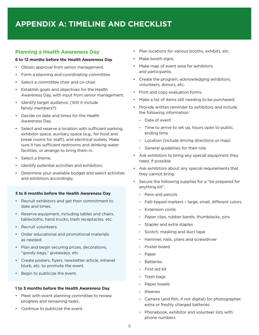## **APPENDIX A: TIMELINE AND CHECKLIST**

### **Planning a Health Awareness Day**

#### **6 to 12 months before the Health Awareness Day**

- Obtain approval from senior management.
- Form a planning and coordinating committee.
- Select a committee chair and co-chair.
- • Establish goals and objectives for the Health Awareness Day, with input from senior management.
- Identify target audience. (Will it include family members?)
- • Decide on date and times for the Health Awareness Day.
- • Select and reserve a location with sufficient parking, exhibitor space, auxiliary space (e.g., for food and break rooms for staff), and electrical outlets. Make sure it has sufficient restrooms and drinking water facilities, or arrange to bring them in.
- • Select a theme.
- • Identify potential activities and exhibitors.
- Determine your available budget and select activities and exhibitors accordingly.

#### **3 to 6 months before the Health Awareness Day**

- • Recruit exhibitors and get their commitment to date and times.
- • Reserve equipment, including tables and chairs, tablecloths, hand trucks, trash receptacles, etc.
- • Recruit volunteers.
- • Order educational and promotional materials as needed.
- • Plan and begin securing prizes, decorations, "goody bags," giveaways, etc.
- • Create posters, flyers, newsletter article, intranet blurb, etc. to promote the event.
- Begin to publicize the event.

### **1 to 3 months before the Health Awareness Day**

- • Meet with event planning committee to review progress and remaining tasks.
- • Continue to publicize the event.
- Plan locations for various booths, exhibits, etc.
- Make booth signs.
- • Make map of event area for exhibitors and participants.
- • Create the program, acknowledging exhibitors, volunteers, donors, etc.
- Print and copy evaluation forms.
- Make a list of items still needing to be purchased.
- • Provide written reminder to exhibitors and include the following information:
	- Date of event
	- Time to arrive to set up, hours open to public, ending time
	- Location (include driving directions or map)
	- General guidelines for their role
- • Ask exhibitors to bring any special equipment they need, if possible.
- • Ask exhibitors about any special requirements that they cannot bring.
- • Secure the following supplies for a "be prepared for anything kit".
	- Pens and pencils
	- – Felt-tipped markers large, small, different colors
	- Extension cords
	- Paper clips, rubber bands, thumbtacks, pins
	- Stapler and extra staples
	- Scotch, masking and duct tape
	- Hammer, nails, pliers and screwdriver
	- – Poster board
	- Paper
	- – Batteries
	- – First aid kit
	- – Trash bags
	- Paper towels
	- – Kleenex
	- Camera (and film, if not digital) for photographer, extra or freshly charged batteries
	- Phonebook, exhibitor and volunteer lists with phone numbers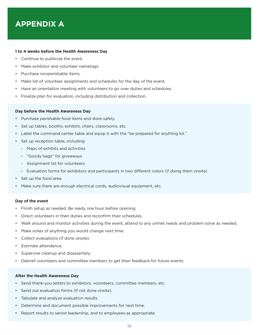## **APPENDIX A**

#### **1 to 4 weeks before the Health Awareness Day**

- Continue to publicize the event.
- Make exhibitor and volunteer nametags.
- • Purchase nonperishable items.
- • Make list of volunteer assignments and schedules for the day of the event.
- Have an orientation meeting with volunteers to go over duties and schedules.
- • Finalize plan for evaluation, including distribution and collection.

#### **Day before the Health Awareness Day**

- • Purchase perishable food items and store safely.
- Set up tables, booths, exhibits, chairs, classrooms, etc.
- Label the command center table and equip it with the "be prepared for anything kit."
- • Set up reception table, including:
	- – Maps of exhibits and activities
	- "Goody bags" for giveaways
	- – Assignment list for volunteers
	- Evaluation forms for exhibitors and participants in two different colors (if doing them onsite)
- Set up the food area.
- Make sure there are enough electrical cords, audiovisual equipment, etc.

#### **Day of the event**

- Finish setup as needed. Be ready one hour before opening.
- Direct volunteers in their duties and reconfirm their schedules.
- Walk around and monitor activities during the event, attend to any unmet needs and problem solve as needed.
- Make notes of anything you would change next time.
- • Collect evaluations (if done onsite).
- • Estimate attendance.
- Supervise cleanup and disassembly.
- Debrief volunteers and committee members to get their feedback for future events.

#### **After the Health Awareness Day**

- • Send thank-you letters to exhibitors, volunteers, committee members, etc.
- • Send out evaluation forms (if not done onsite).
- Tabulate and analyze evaluation results.
- Determine and document possible improvements for next time.
- Report results to senior leadership, and to employees as appropriate.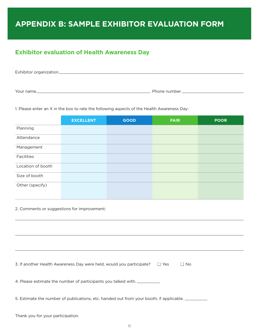## **APPENDIX B: SAMPLE EXHIBITOR EVALUATION FORM**

## **Exhibitor evaluation of Health Awareness Day**

| Exhibitor organization_ |              |  |
|-------------------------|--------------|--|
|                         |              |  |
|                         |              |  |
| Your name_              | Phone number |  |

1. Please enter an X in the box to rate the following aspects of the Health Awareness Day:

|                   | <b>EXCELLENT</b> | <b>GOOD</b> | <b>FAIR</b> | <b>POOR</b> |
|-------------------|------------------|-------------|-------------|-------------|
| Planning          |                  |             |             |             |
| Attendance        |                  |             |             |             |
| Management        |                  |             |             |             |
| Facilities        |                  |             |             |             |
| Location of booth |                  |             |             |             |
| Size of booth     |                  |             |             |             |
| Other (specify)   |                  |             |             |             |

2. Comments or suggestions for improvement:

| 3. If another Health Awareness Day were held, would you participate?<br>$\Box$ Yes<br>$\Box$ No |
|-------------------------------------------------------------------------------------------------|
|                                                                                                 |
| 4. Please estimate the number of participants you talked with.                                  |
| 5. Estimate the number of publications, etc. handed out from your booth, if applicable.         |
|                                                                                                 |
| Thank you for your participation.                                                               |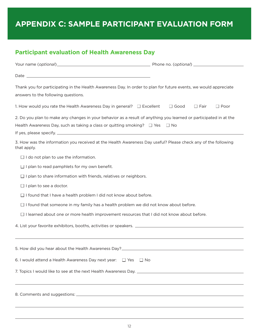## **APPENDIX C: SAMPLE PARTICIPANT EVALUATION FORM**

## **Participant evaluation of Health Awareness Day**

| Thank you for participating in the Health Awareness Day. In order to plan for future events, we would appreciate<br>answers to the following questions.                                                     |                                           |  |  |  |
|-------------------------------------------------------------------------------------------------------------------------------------------------------------------------------------------------------------|-------------------------------------------|--|--|--|
| 1. How would you rate the Health Awareness Day in general? $\Box$ Excellent                                                                                                                                 | $\Box$ Good<br>$\Box$ Fair<br>$\Box$ Poor |  |  |  |
| 2. Do you plan to make any changes in your behavior as a result of anything you learned or participated in at the<br>Health Awareness Day, such as taking a class or quitting smoking? $\Box$ Yes $\Box$ No |                                           |  |  |  |
| 3. How was the information you received at the Health Awareness Day useful? Please check any of the following<br>that apply.                                                                                |                                           |  |  |  |
| $\Box$ I do not plan to use the information.                                                                                                                                                                |                                           |  |  |  |
| I plan to read pamphlets for my own benefit.                                                                                                                                                                |                                           |  |  |  |
| plan to share information with friends, relatives or neighbors.                                                                                                                                             |                                           |  |  |  |
| $\Box$ I plan to see a doctor.                                                                                                                                                                              |                                           |  |  |  |
| $\Box$ I found that I have a health problem I did not know about before.                                                                                                                                    |                                           |  |  |  |
| $\Box$ I found that someone in my family has a health problem we did not know about before.                                                                                                                 |                                           |  |  |  |
| $\Box$ I learned about one or more health improvement resources that I did not know about before.                                                                                                           |                                           |  |  |  |
|                                                                                                                                                                                                             |                                           |  |  |  |
|                                                                                                                                                                                                             |                                           |  |  |  |
| 5. How did you hear about the Health Awareness Day? ____________________________                                                                                                                            |                                           |  |  |  |
| 6. I would attend a Health Awareness Day next year: $\Box$ Yes<br>$\Box$ No                                                                                                                                 |                                           |  |  |  |
|                                                                                                                                                                                                             |                                           |  |  |  |
|                                                                                                                                                                                                             |                                           |  |  |  |